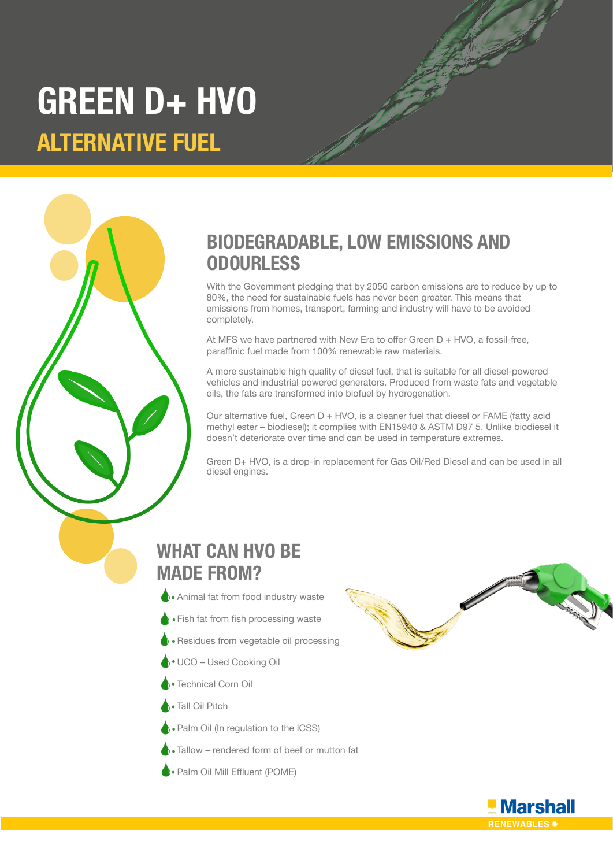# **GREEN D+ HVO ALTERNATIVE FUEL**

# **BIODEGRADABLE, LOW EMISSIONS AND ODOURLESS**

With the Government pledging that by 2050 carbon emissions are to reduce by up to 80%, the need for sustainable fuels has never been greater. This means that emissions from homes, transport, farming and industry will have to be avoided completely.

At MFS we have partnered with New Era to offer Green  $D + HVO$ , a fossil-free, paraffinic fuel made from 100% renewable raw materials.

A more sustainable high quality of diesel fuel, that is suitable for all diesel-powered vehicles and industrial powered generators. Produced from waste fats and vegetable oils, the fats are transformed into biofuel by hydrogenation.

Our alternative fuel, Green  $D + HVO$ , is a cleaner fuel that diesel or FAME (fatty acid methyl ester – biodiesel); it complies with EN15940 & ASTM D97 5. Unlike biodiesel it doesn't deteriorate over time and can be used in temperature extremes.

Green D+ HVO, is a drop-in replacement for Gas Oil/Red Diesel and can be used in all diesel engines.

## **WHAT CAN HVO BE MADE FROM?**

- **Animal fat from food industry waste**
- Fish fat from fish processing waste
- Residues from vegetable oil processing
- UCO Used Cooking Oil
- Technical Corn Oil
- **Tall Oil Pitch**
- **Palm Oil (In regulation to the ICSS)**
- Tallow rendered form of beef or mutton fat
- **Palm Oil Mill Effluent (POME)**